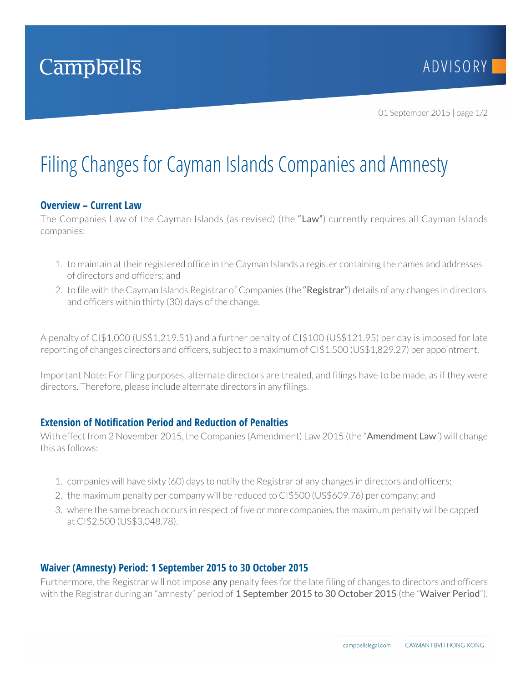

01 September 2015 | page 1/2

# Filing Changes for Cayman Islands Companies and Amnesty

## **Overview – Current Law**

The Companies Law of the Cayman Islands (as revised) (the "Law") currently requires all Cayman Islands companies:

- 1. to maintain at their registered office in the Cayman Islands a register containing the names and addresses of directors and officers; and
- 2. to file with the Cayman Islands Registrar of Companies (the "Registrar") details of any changes in directors and officers within thirty (30) days of the change.

A penalty of CI\$1,000 (US\$1,219.51) and a further penalty of CI\$100 (US\$121.95) per day is imposed for late reporting of changes directors and officers, subject to a maximum of CI\$1,500 (US\$1,829.27) per appointment.

Important Note: For filing purposes, alternate directors are treated, and filings have to be made, as if they were directors. Therefore, please include alternate directors in any filings.

## **Extension of Notification Period and Reduction of Penalties**

With effect from 2 November 2015, the Companies (Amendment) Law 2015 (the "Amendment Law") will change this as follows:

- 1. companies will have sixty (60) days to notify the Registrar of any changes in directors and officers;
- 2. the maximum penalty per company will be reduced to CI\$500 (US\$609.76) per company; and
- 3. where the same breach occurs in respect of five or more companies, the maximum penalty will be capped at CI\$2,500 (US\$3,048.78).

#### **Waiver (Amnesty) Period: 1 September 2015 to 30 October 2015**

Furthermore, the Registrar will not impose any penalty fees for the late filing of changes to directors and officers with the Registrar during an "amnesty" period of 1 September 2015 to 30 October 2015 (the "Waiver Period").